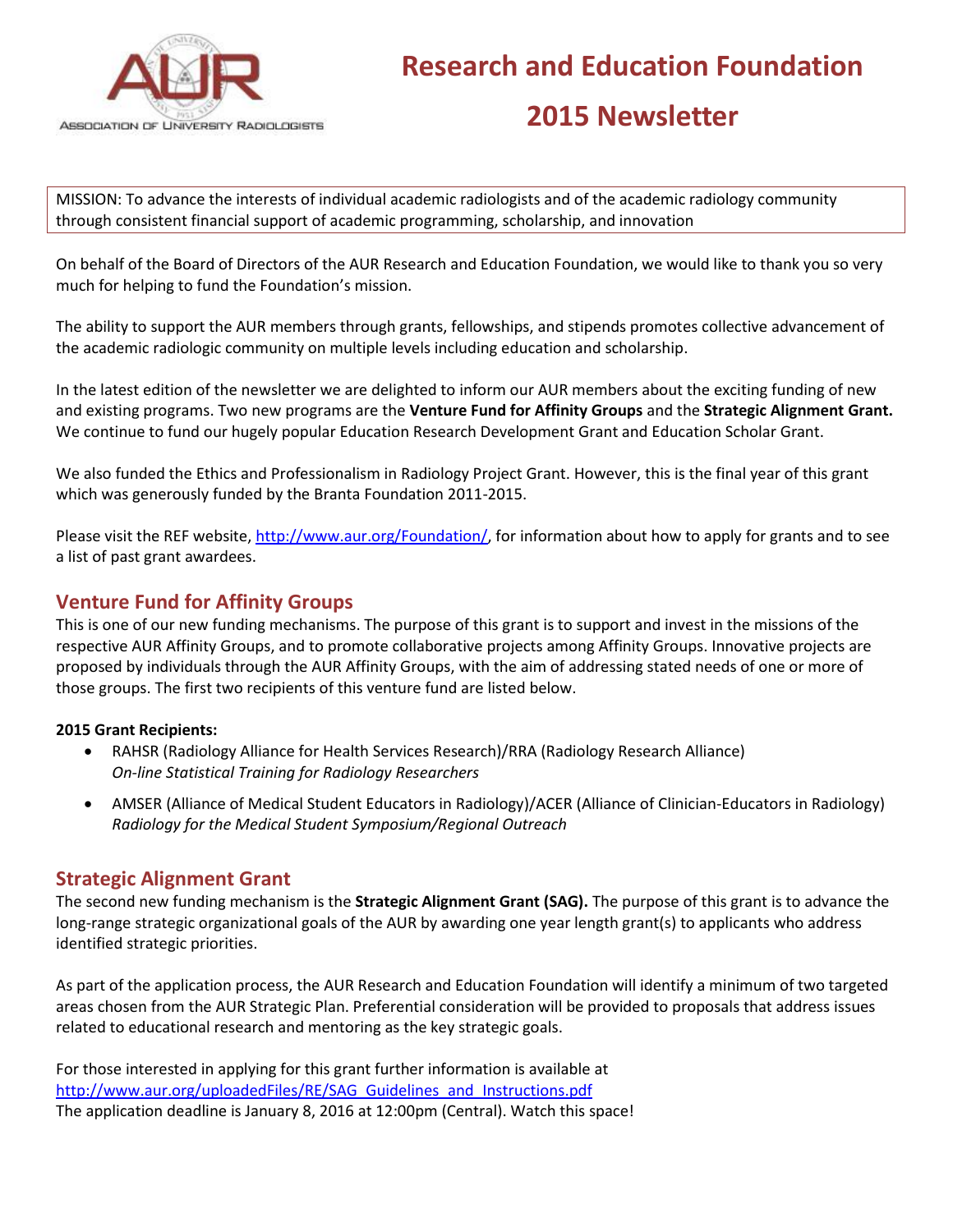

MISSION: To advance the interests of individual academic radiologists and of the academic radiology community through consistent financial support of academic programming, scholarship, and innovation

On behalf of the Board of Directors of the AUR Research and Education Foundation, we would like to thank you so very much for helping to fund the Foundation's mission.

The ability to support the AUR members through grants, fellowships, and stipends promotes collective advancement of the academic radiologic community on multiple levels including education and scholarship.

In the latest edition of the newsletter we are delighted to inform our AUR members about the exciting funding of new and existing programs. Two new programs are the **Venture Fund for Affinity Groups** and the **Strategic Alignment Grant.** We continue to fund our hugely popular Education Research Development Grant and Education Scholar Grant.

We also funded the Ethics and Professionalism in Radiology Project Grant. However, this is the final year of this grant which was generously funded by the Branta Foundation 2011-2015.

Please visit the REF website, [http://www.aur.org/Foundation/,](http://www.aur.org/Foundation/) for information about how to apply for grants and to see a list of past grant awardees.

# **Venture Fund for Affinity Groups**

This is one of our new funding mechanisms. The purpose of this grant is to support and invest in the missions of the respective AUR Affinity Groups, and to promote collaborative projects among Affinity Groups. Innovative projects are proposed by individuals through the AUR Affinity Groups, with the aim of addressing stated needs of one or more of those groups. The first two recipients of this venture fund are listed below.

### **2015 Grant Recipients:**

- RAHSR (Radiology Alliance for Health Services Research)/RRA (Radiology Research Alliance) *On-line Statistical Training for Radiology Researchers*
- AMSER (Alliance of Medical Student Educators in Radiology)/ACER (Alliance of Clinician-Educators in Radiology) *Radiology for the Medical Student Symposium/Regional Outreach*

# **Strategic Alignment Grant**

The second new funding mechanism is the **Strategic Alignment Grant (SAG).** The purpose of this grant is to advance the long-range strategic organizational goals of the AUR by awarding one year length grant(s) to applicants who address identified strategic priorities.

As part of the application process, the AUR Research and Education Foundation will identify a minimum of two targeted areas chosen from the AUR Strategic Plan. Preferential consideration will be provided to proposals that address issues related to educational research and mentoring as the key strategic goals.

For those interested in applying for this grant further information is available at [http://www.aur.org/uploadedFiles/RE/SAG\\_Guidelines\\_and\\_Instructions.pdf](http://www.aur.org/uploadedFiles/RE/SAG_Guidelines_and_Instructions.pdf) The application deadline is January 8, 2016 at 12:00pm (Central). Watch this space!